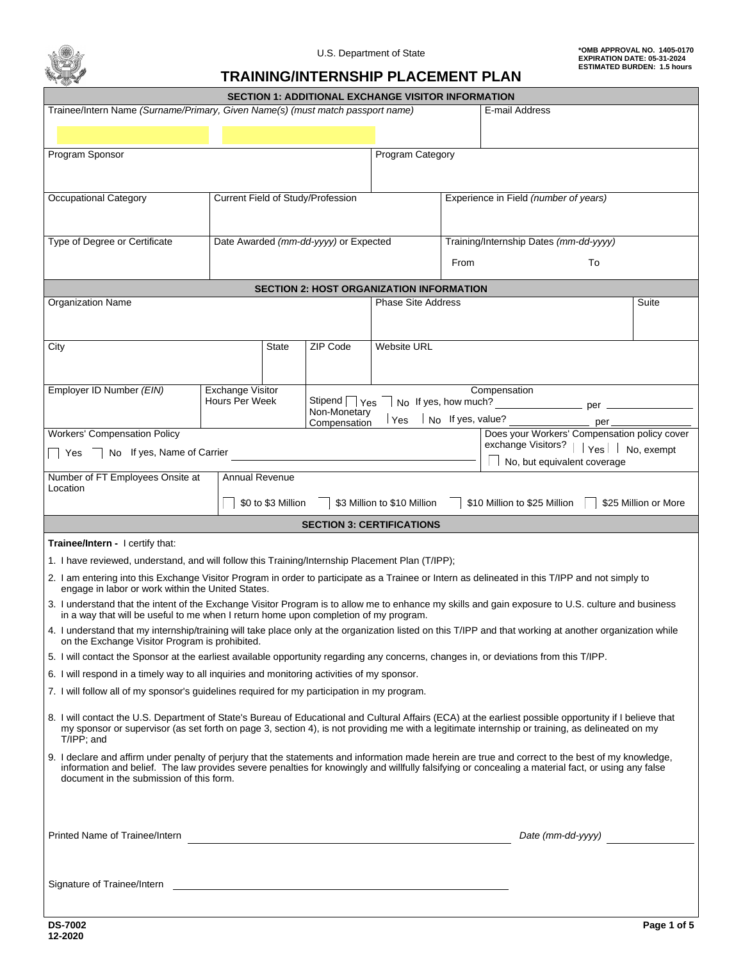

## **TRAINING/INTERNSHIP PLACEMENT PLAN**

| <b>SECTION 1: ADDITIONAL EXCHANGE VISITOR INFORMATION</b>                                                                                                                                                                                  |                                    |                    |                                       |                                                 |                                        |                                                                                                                                                    |                          |
|--------------------------------------------------------------------------------------------------------------------------------------------------------------------------------------------------------------------------------------------|------------------------------------|--------------------|---------------------------------------|-------------------------------------------------|----------------------------------------|----------------------------------------------------------------------------------------------------------------------------------------------------|--------------------------|
| Trainee/Intern Name (Surname/Primary, Given Name(s) (must match passport name)                                                                                                                                                             |                                    |                    |                                       |                                                 |                                        | E-mail Address                                                                                                                                     |                          |
|                                                                                                                                                                                                                                            |                                    |                    |                                       |                                                 |                                        |                                                                                                                                                    |                          |
| Program Sponsor                                                                                                                                                                                                                            |                                    |                    |                                       | <b>Program Category</b>                         |                                        |                                                                                                                                                    |                          |
|                                                                                                                                                                                                                                            |                                    |                    |                                       |                                                 |                                        |                                                                                                                                                    |                          |
|                                                                                                                                                                                                                                            |                                    |                    |                                       |                                                 |                                        |                                                                                                                                                    | $\vert \mathbf{v} \vert$ |
| Occupational Category                                                                                                                                                                                                                      |                                    |                    | Current Field of Study/Profession     |                                                 |                                        | Experience in Field (number of years)                                                                                                              |                          |
|                                                                                                                                                                                                                                            |                                    |                    |                                       |                                                 |                                        |                                                                                                                                                    |                          |
| Type of Degree or Certificate                                                                                                                                                                                                              |                                    |                    | Date Awarded (mm-dd-yyyy) or Expected |                                                 |                                        |                                                                                                                                                    |                          |
|                                                                                                                                                                                                                                            |                                    |                    |                                       |                                                 | Training/Internship Dates (mm-dd-yyyy) |                                                                                                                                                    |                          |
|                                                                                                                                                                                                                                            |                                    |                    |                                       | From                                            | To                                     |                                                                                                                                                    |                          |
|                                                                                                                                                                                                                                            |                                    |                    |                                       | <b>SECTION 2: HOST ORGANIZATION INFORMATION</b> |                                        |                                                                                                                                                    |                          |
| Organization Name                                                                                                                                                                                                                          |                                    |                    |                                       | <b>Phase Site Address</b>                       |                                        |                                                                                                                                                    | Suite                    |
|                                                                                                                                                                                                                                            |                                    |                    |                                       |                                                 |                                        |                                                                                                                                                    |                          |
| City                                                                                                                                                                                                                                       |                                    | <b>State</b>       | ZIP Code                              | <b>Website URL</b>                              |                                        |                                                                                                                                                    |                          |
|                                                                                                                                                                                                                                            |                                    |                    |                                       |                                                 |                                        |                                                                                                                                                    |                          |
|                                                                                                                                                                                                                                            |                                    |                    |                                       |                                                 |                                        |                                                                                                                                                    |                          |
| Employer ID Number (EIN)                                                                                                                                                                                                                   | Exchange Visitor<br>Hours Per Week |                    |                                       |                                                 |                                        | Compensation                                                                                                                                       |                          |
|                                                                                                                                                                                                                                            |                                    |                    | Non-Monetary                          | $\gamma_{\text{es}}$ $\vert$ No If yes, value?  |                                        |                                                                                                                                                    |                          |
| <b>Workers' Compensation Policy</b>                                                                                                                                                                                                        |                                    |                    | Compensation                          |                                                 |                                        | Does your Workers' Compensation policy cover                                                                                                       |                          |
| No If yes, Name of Carrier<br>  Yes                                                                                                                                                                                                        |                                    |                    |                                       |                                                 |                                        | exchange Visitors?   Yes No, exempt                                                                                                                |                          |
| No, but equivalent coverage                                                                                                                                                                                                                |                                    |                    |                                       |                                                 |                                        |                                                                                                                                                    |                          |
| Number of FT Employees Onsite at<br>Annual Revenue<br>Location                                                                                                                                                                             |                                    |                    |                                       |                                                 |                                        |                                                                                                                                                    |                          |
|                                                                                                                                                                                                                                            |                                    | \$0 to \$3 Million |                                       | \$3 Million to \$10 Million                     |                                        | \$10 Million to \$25 Million                                                                                                                       | \$25 Million or More     |
|                                                                                                                                                                                                                                            |                                    |                    |                                       | <b>SECTION 3: CERTIFICATIONS</b>                |                                        |                                                                                                                                                    |                          |
| <b>Trainee/Intern - I certify that:</b>                                                                                                                                                                                                    |                                    |                    |                                       |                                                 |                                        |                                                                                                                                                    |                          |
| 1. I have reviewed, understand, and will follow this Training/Internship Placement Plan (T/IPP);                                                                                                                                           |                                    |                    |                                       |                                                 |                                        |                                                                                                                                                    |                          |
| 2. I am entering into this Exchange Visitor Program in order to participate as a Trainee or Intern as delineated in this T/IPP and not simply to<br>engage in labor or work within the United States.                                      |                                    |                    |                                       |                                                 |                                        |                                                                                                                                                    |                          |
| 3. I understand that the intent of the Exchange Visitor Program is to allow me to enhance my skills and gain exposure to U.S. culture and business<br>in a way that will be useful to me when I return home upon completion of my program. |                                    |                    |                                       |                                                 |                                        |                                                                                                                                                    |                          |
| 4. I understand that my internship/training will take place only at the organization listed on this T/IPP and that working at another organization while<br>on the Exchange Visitor Program is prohibited.                                 |                                    |                    |                                       |                                                 |                                        |                                                                                                                                                    |                          |
| 5. I will contact the Sponsor at the earliest available opportunity regarding any concerns, changes in, or deviations from this T/IPP.                                                                                                     |                                    |                    |                                       |                                                 |                                        |                                                                                                                                                    |                          |
| 6. I will respond in a timely way to all inquiries and monitoring activities of my sponsor.                                                                                                                                                |                                    |                    |                                       |                                                 |                                        |                                                                                                                                                    |                          |
| 7. I will follow all of my sponsor's quidelines required for my participation in my program.                                                                                                                                               |                                    |                    |                                       |                                                 |                                        |                                                                                                                                                    |                          |
| 8. I will contact the U.S. Department of State's Bureau of Educational and Cultural Affairs (ECA) at the earliest possible opportunity if I believe that<br>T/IPP; and                                                                     |                                    |                    |                                       |                                                 |                                        | my sponsor or supervisor (as set forth on page 3, section 4), is not providing me with a legitimate internship or training, as delineated on my    |                          |
| 9. I declare and affirm under penalty of perjury that the statements and information made herein are true and correct to the best of my knowledge,<br>document in the submission of this form.                                             |                                    |                    |                                       |                                                 |                                        | information and belief. The law provides severe penalties for knowingly and willfully falsifying or concealing a material fact, or using any false |                          |
| Printed Name of Trainee/Intern                                                                                                                                                                                                             |                                    |                    |                                       | <u> 1980 - Andrea Andrew Maria (h. 1980).</u>   |                                        | Date (mm-dd-yyyy)                                                                                                                                  |                          |
|                                                                                                                                                                                                                                            |                                    |                    |                                       |                                                 |                                        |                                                                                                                                                    |                          |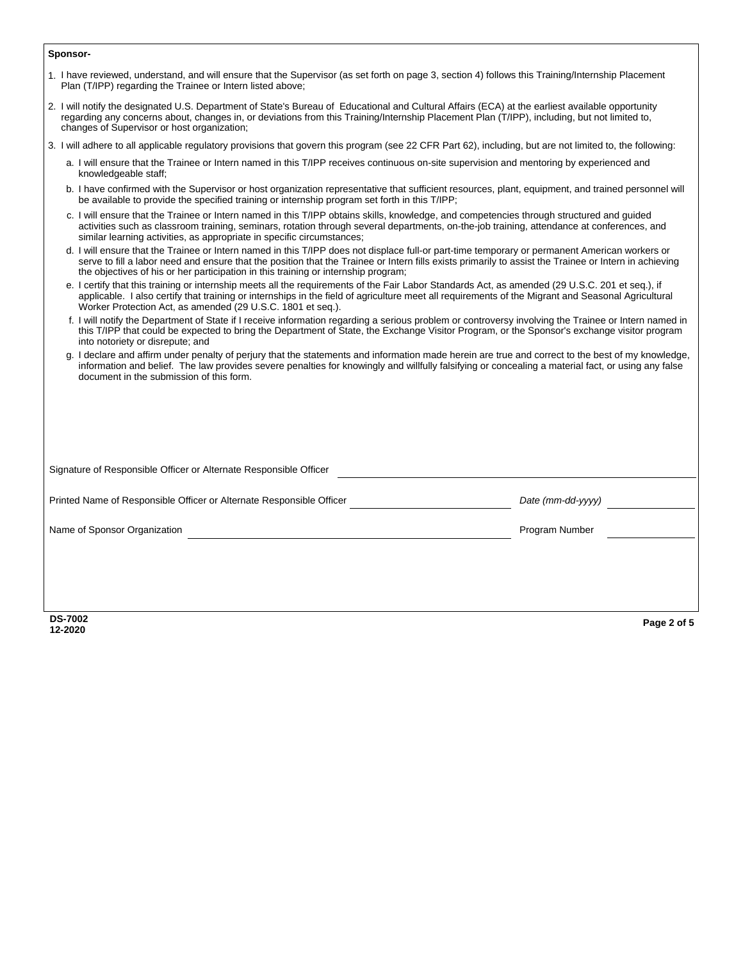## **Sponsor-**

| <b>DS-7002</b><br>12-2020                                                                                                                                                                                                                                                                                                                                                                      | Page 2 of 5       |
|------------------------------------------------------------------------------------------------------------------------------------------------------------------------------------------------------------------------------------------------------------------------------------------------------------------------------------------------------------------------------------------------|-------------------|
|                                                                                                                                                                                                                                                                                                                                                                                                |                   |
| Name of Sponsor Organization                                                                                                                                                                                                                                                                                                                                                                   | Program Number    |
| Printed Name of Responsible Officer or Alternate Responsible Officer                                                                                                                                                                                                                                                                                                                           | Date (mm-dd-yyyy) |
| Signature of Responsible Officer or Alternate Responsible Officer                                                                                                                                                                                                                                                                                                                              |                   |
|                                                                                                                                                                                                                                                                                                                                                                                                |                   |
|                                                                                                                                                                                                                                                                                                                                                                                                |                   |
| g. I declare and affirm under penalty of perjury that the statements and information made herein are true and correct to the best of my knowledge,<br>information and belief. The law provides severe penalties for knowingly and willfully falsifying or concealing a material fact, or using any false<br>document in the submission of this form.                                           |                   |
| f. I will notify the Department of State if I receive information regarding a serious problem or controversy involving the Trainee or Intern named in<br>this T/IPP that could be expected to bring the Department of State, the Exchange Visitor Program, or the Sponsor's exchange visitor program<br>into notoriety or disrepute; and                                                       |                   |
| e. I certify that this training or internship meets all the requirements of the Fair Labor Standards Act, as amended (29 U.S.C. 201 et seq.), if<br>applicable. I also certify that training or internships in the field of agriculture meet all requirements of the Migrant and Seasonal Agricultural<br>Worker Protection Act, as amended (29 U.S.C. 1801 et seq.).                          |                   |
| d. I will ensure that the Trainee or Intern named in this T/IPP does not displace full-or part-time temporary or permanent American workers or<br>serve to fill a labor need and ensure that the position that the Trainee or Intern fills exists primarily to assist the Trainee or Intern in achieving<br>the objectives of his or her participation in this training or internship program; |                   |
| c. I will ensure that the Trainee or Intern named in this T/IPP obtains skills, knowledge, and competencies through structured and guided<br>activities such as classroom training, seminars, rotation through several departments, on-the-job training, attendance at conferences, and<br>similar learning activities, as appropriate in specific circumstances;                              |                   |
| b. I have confirmed with the Supervisor or host organization representative that sufficient resources, plant, equipment, and trained personnel will<br>be available to provide the specified training or internship program set forth in this T/IPP;                                                                                                                                           |                   |
| a. I will ensure that the Trainee or Intern named in this T/IPP receives continuous on-site supervision and mentoring by experienced and<br>knowledgeable staff;                                                                                                                                                                                                                               |                   |
| 3. I will adhere to all applicable regulatory provisions that govern this program (see 22 CFR Part 62), including, but are not limited to, the following:                                                                                                                                                                                                                                      |                   |
| 2. I will notify the designated U.S. Department of State's Bureau of Educational and Cultural Affairs (ECA) at the earliest available opportunity<br>regarding any concerns about, changes in, or deviations from this Training/Internship Placement Plan (T/IPP), including, but not limited to,<br>changes of Supervisor or host organization;                                               |                   |
| 1. I have reviewed, understand, and will ensure that the Supervisor (as set forth on page 3, section 4) follows this Training/Internship Placement<br>Plan (T/IPP) regarding the Trainee or Intern listed above;                                                                                                                                                                               |                   |
|                                                                                                                                                                                                                                                                                                                                                                                                |                   |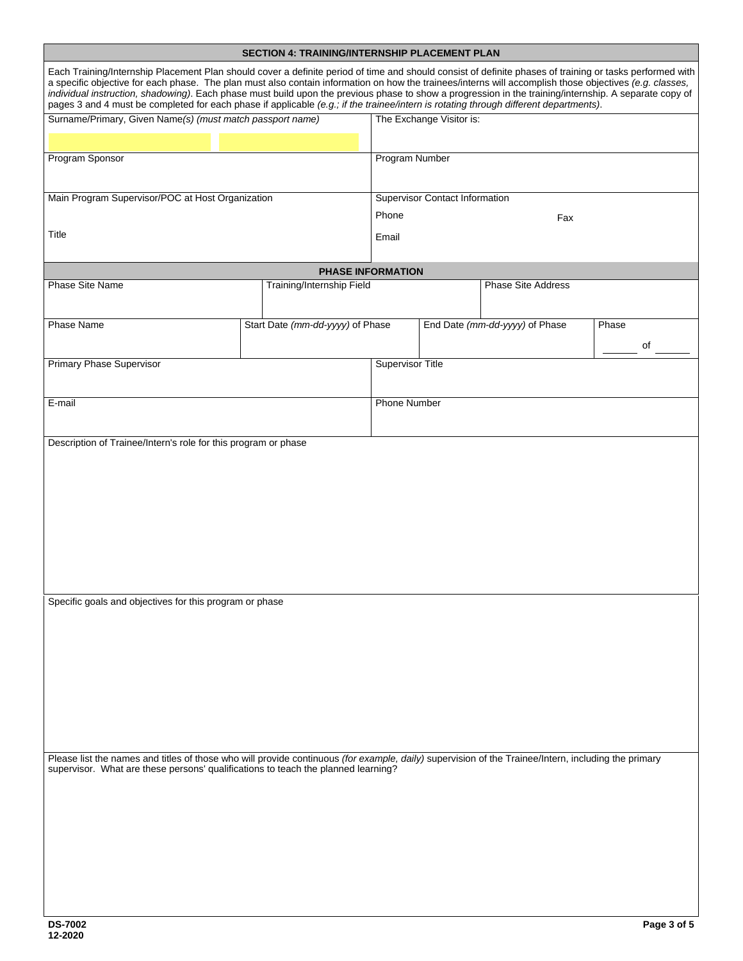|                                                                                                                                                                                                                                                                                                                                                                                                                                                                                                                                                                                                                        | SECTION 4: TRAINING/INTERNSHIP PLACEMENT PLAN |                       |                                       |                                |                      |
|------------------------------------------------------------------------------------------------------------------------------------------------------------------------------------------------------------------------------------------------------------------------------------------------------------------------------------------------------------------------------------------------------------------------------------------------------------------------------------------------------------------------------------------------------------------------------------------------------------------------|-----------------------------------------------|-----------------------|---------------------------------------|--------------------------------|----------------------|
| Each Training/Internship Placement Plan should cover a definite period of time and should consist of definite phases of training or tasks performed with<br>a specific objective for each phase. The plan must also contain information on how the trainees/interns will accomplish those objectives (e.g. classes,<br>individual instruction, shadowing). Each phase must build upon the previous phase to show a progression in the training/internship. A separate copy of<br>pages 3 and 4 must be completed for each phase if applicable (e.g., if the trainee/intern is rotating through different departments). |                                               |                       |                                       |                                |                      |
| Surname/Primary, Given Name(s) (must match passport name)                                                                                                                                                                                                                                                                                                                                                                                                                                                                                                                                                              |                                               |                       | The Exchange Visitor is:              |                                | $\blacktriangledown$ |
| Program Sponsor                                                                                                                                                                                                                                                                                                                                                                                                                                                                                                                                                                                                        |                                               | <b>Program Number</b> |                                       |                                |                      |
|                                                                                                                                                                                                                                                                                                                                                                                                                                                                                                                                                                                                                        |                                               |                       |                                       |                                |                      |
| Main Program Supervisor/POC at Host Organization                                                                                                                                                                                                                                                                                                                                                                                                                                                                                                                                                                       |                                               | Phone                 | <b>Supervisor Contact Information</b> |                                |                      |
| Title                                                                                                                                                                                                                                                                                                                                                                                                                                                                                                                                                                                                                  |                                               | Fax<br>Email          |                                       |                                |                      |
|                                                                                                                                                                                                                                                                                                                                                                                                                                                                                                                                                                                                                        | <b>PHASE INFORMATION</b>                      |                       |                                       |                                |                      |
| Phase Site Name                                                                                                                                                                                                                                                                                                                                                                                                                                                                                                                                                                                                        | Training/Internship Field                     |                       |                                       | <b>Phase Site Address</b>      |                      |
| Phase Name                                                                                                                                                                                                                                                                                                                                                                                                                                                                                                                                                                                                             | Start Date (mm-dd-yyyy) of Phase              |                       |                                       | End Date (mm-dd-yyyy) of Phase | Phase<br>of          |
| Primary Phase Supervisor                                                                                                                                                                                                                                                                                                                                                                                                                                                                                                                                                                                               |                                               | Supervisor Title      |                                       |                                |                      |
|                                                                                                                                                                                                                                                                                                                                                                                                                                                                                                                                                                                                                        |                                               |                       |                                       |                                |                      |
| E-mail                                                                                                                                                                                                                                                                                                                                                                                                                                                                                                                                                                                                                 |                                               | <b>Phone Number</b>   |                                       |                                |                      |
| Description of Trainee/Intern's role for this program or phase                                                                                                                                                                                                                                                                                                                                                                                                                                                                                                                                                         |                                               |                       |                                       |                                |                      |
|                                                                                                                                                                                                                                                                                                                                                                                                                                                                                                                                                                                                                        |                                               |                       |                                       |                                |                      |
|                                                                                                                                                                                                                                                                                                                                                                                                                                                                                                                                                                                                                        |                                               |                       |                                       |                                |                      |
|                                                                                                                                                                                                                                                                                                                                                                                                                                                                                                                                                                                                                        |                                               |                       |                                       |                                |                      |
|                                                                                                                                                                                                                                                                                                                                                                                                                                                                                                                                                                                                                        |                                               |                       |                                       |                                |                      |
|                                                                                                                                                                                                                                                                                                                                                                                                                                                                                                                                                                                                                        |                                               |                       |                                       |                                |                      |
|                                                                                                                                                                                                                                                                                                                                                                                                                                                                                                                                                                                                                        |                                               |                       |                                       |                                |                      |
| Specific goals and objectives for this program or phase                                                                                                                                                                                                                                                                                                                                                                                                                                                                                                                                                                |                                               |                       |                                       |                                |                      |
|                                                                                                                                                                                                                                                                                                                                                                                                                                                                                                                                                                                                                        |                                               |                       |                                       |                                |                      |
|                                                                                                                                                                                                                                                                                                                                                                                                                                                                                                                                                                                                                        |                                               |                       |                                       |                                |                      |
|                                                                                                                                                                                                                                                                                                                                                                                                                                                                                                                                                                                                                        |                                               |                       |                                       |                                |                      |
|                                                                                                                                                                                                                                                                                                                                                                                                                                                                                                                                                                                                                        |                                               |                       |                                       |                                |                      |
|                                                                                                                                                                                                                                                                                                                                                                                                                                                                                                                                                                                                                        |                                               |                       |                                       |                                |                      |
|                                                                                                                                                                                                                                                                                                                                                                                                                                                                                                                                                                                                                        |                                               |                       |                                       |                                |                      |
| Please list the names and titles of those who will provide continuous (for example, daily) supervision of the Trainee/Intern, including the primary                                                                                                                                                                                                                                                                                                                                                                                                                                                                    |                                               |                       |                                       |                                |                      |
| supervisor. What are these persons' qualifications to teach the planned learning?                                                                                                                                                                                                                                                                                                                                                                                                                                                                                                                                      |                                               |                       |                                       |                                |                      |
|                                                                                                                                                                                                                                                                                                                                                                                                                                                                                                                                                                                                                        |                                               |                       |                                       |                                |                      |
|                                                                                                                                                                                                                                                                                                                                                                                                                                                                                                                                                                                                                        |                                               |                       |                                       |                                |                      |
|                                                                                                                                                                                                                                                                                                                                                                                                                                                                                                                                                                                                                        |                                               |                       |                                       |                                |                      |
|                                                                                                                                                                                                                                                                                                                                                                                                                                                                                                                                                                                                                        |                                               |                       |                                       |                                |                      |
|                                                                                                                                                                                                                                                                                                                                                                                                                                                                                                                                                                                                                        |                                               |                       |                                       |                                |                      |
|                                                                                                                                                                                                                                                                                                                                                                                                                                                                                                                                                                                                                        |                                               |                       |                                       |                                |                      |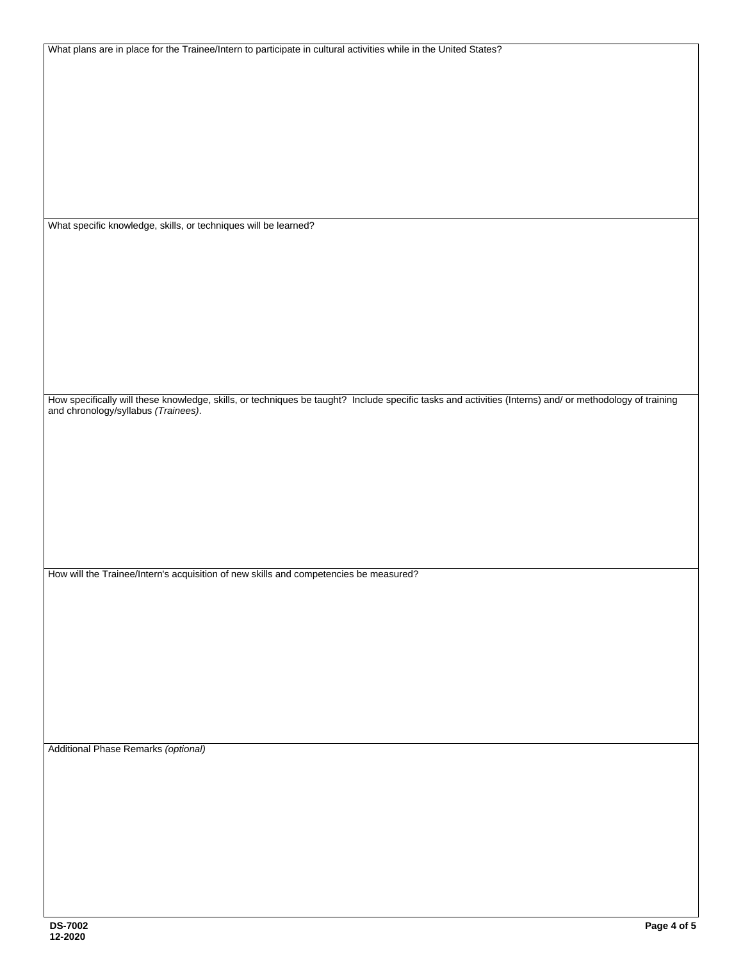| What plans are in place for the Trainee/Intern to participate in cultural activities while in the United States?                                                                            |
|---------------------------------------------------------------------------------------------------------------------------------------------------------------------------------------------|
|                                                                                                                                                                                             |
|                                                                                                                                                                                             |
|                                                                                                                                                                                             |
|                                                                                                                                                                                             |
|                                                                                                                                                                                             |
|                                                                                                                                                                                             |
|                                                                                                                                                                                             |
|                                                                                                                                                                                             |
|                                                                                                                                                                                             |
| What specific knowledge, skills, or techniques will be learned?                                                                                                                             |
|                                                                                                                                                                                             |
|                                                                                                                                                                                             |
|                                                                                                                                                                                             |
|                                                                                                                                                                                             |
|                                                                                                                                                                                             |
|                                                                                                                                                                                             |
|                                                                                                                                                                                             |
|                                                                                                                                                                                             |
|                                                                                                                                                                                             |
|                                                                                                                                                                                             |
| How specifically will these knowledge, skills, or techniques be taught? Include specific tasks and activities (Interns) and/ or methodology of training and chronology/syllabus (Trainees). |
|                                                                                                                                                                                             |
|                                                                                                                                                                                             |
|                                                                                                                                                                                             |
|                                                                                                                                                                                             |
|                                                                                                                                                                                             |
|                                                                                                                                                                                             |
|                                                                                                                                                                                             |
|                                                                                                                                                                                             |
| How will the Trainee/Intern's acquisition of new skills and competencies be measured?                                                                                                       |
|                                                                                                                                                                                             |
|                                                                                                                                                                                             |
|                                                                                                                                                                                             |
|                                                                                                                                                                                             |
|                                                                                                                                                                                             |
|                                                                                                                                                                                             |
|                                                                                                                                                                                             |
|                                                                                                                                                                                             |
|                                                                                                                                                                                             |
| Additional Phase Remarks (optional)                                                                                                                                                         |
|                                                                                                                                                                                             |
|                                                                                                                                                                                             |
|                                                                                                                                                                                             |
|                                                                                                                                                                                             |
|                                                                                                                                                                                             |
|                                                                                                                                                                                             |
|                                                                                                                                                                                             |
|                                                                                                                                                                                             |
|                                                                                                                                                                                             |